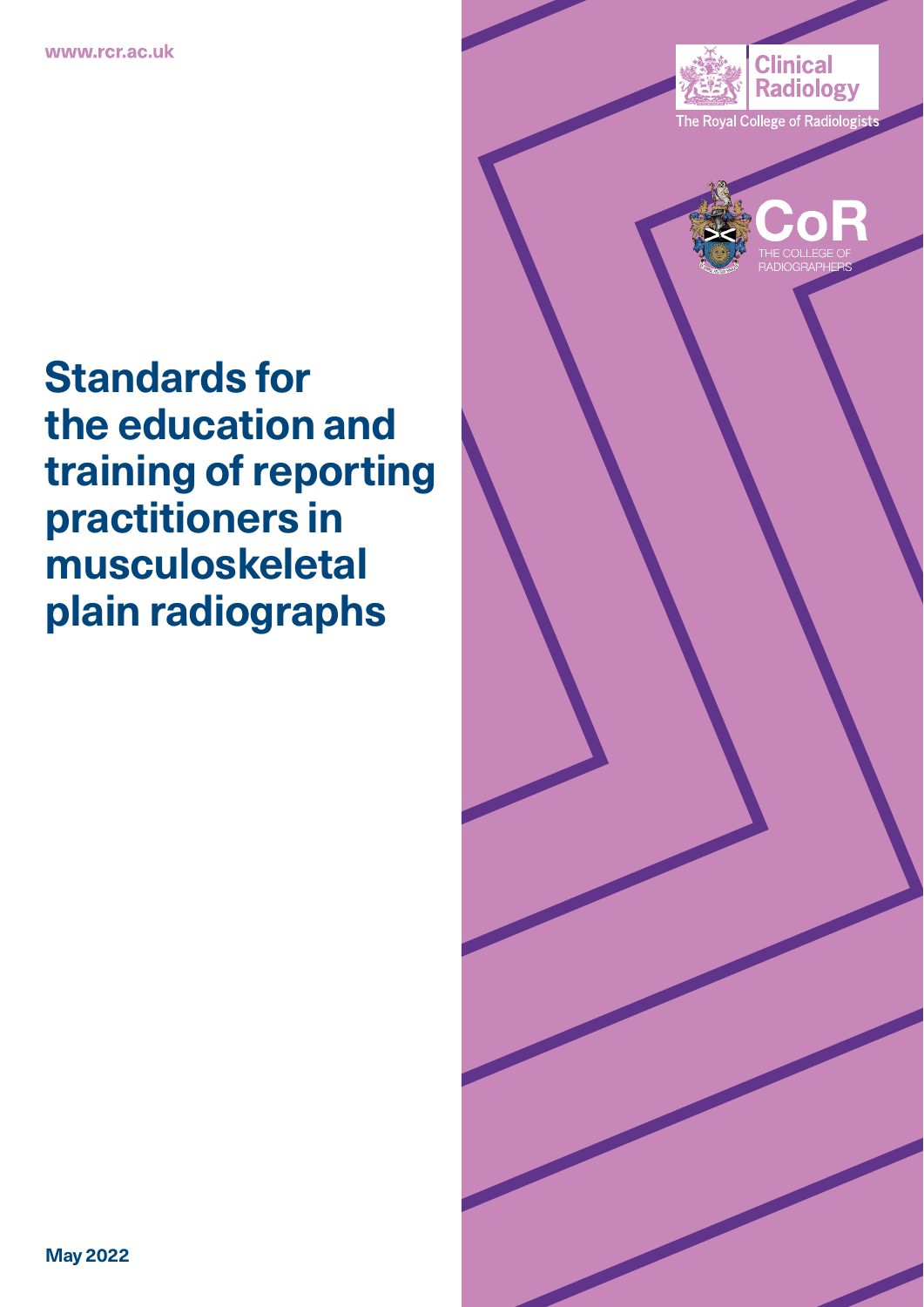



# **Standards for the education and training of reporting practitioners in musculoskeletal plain radiographs**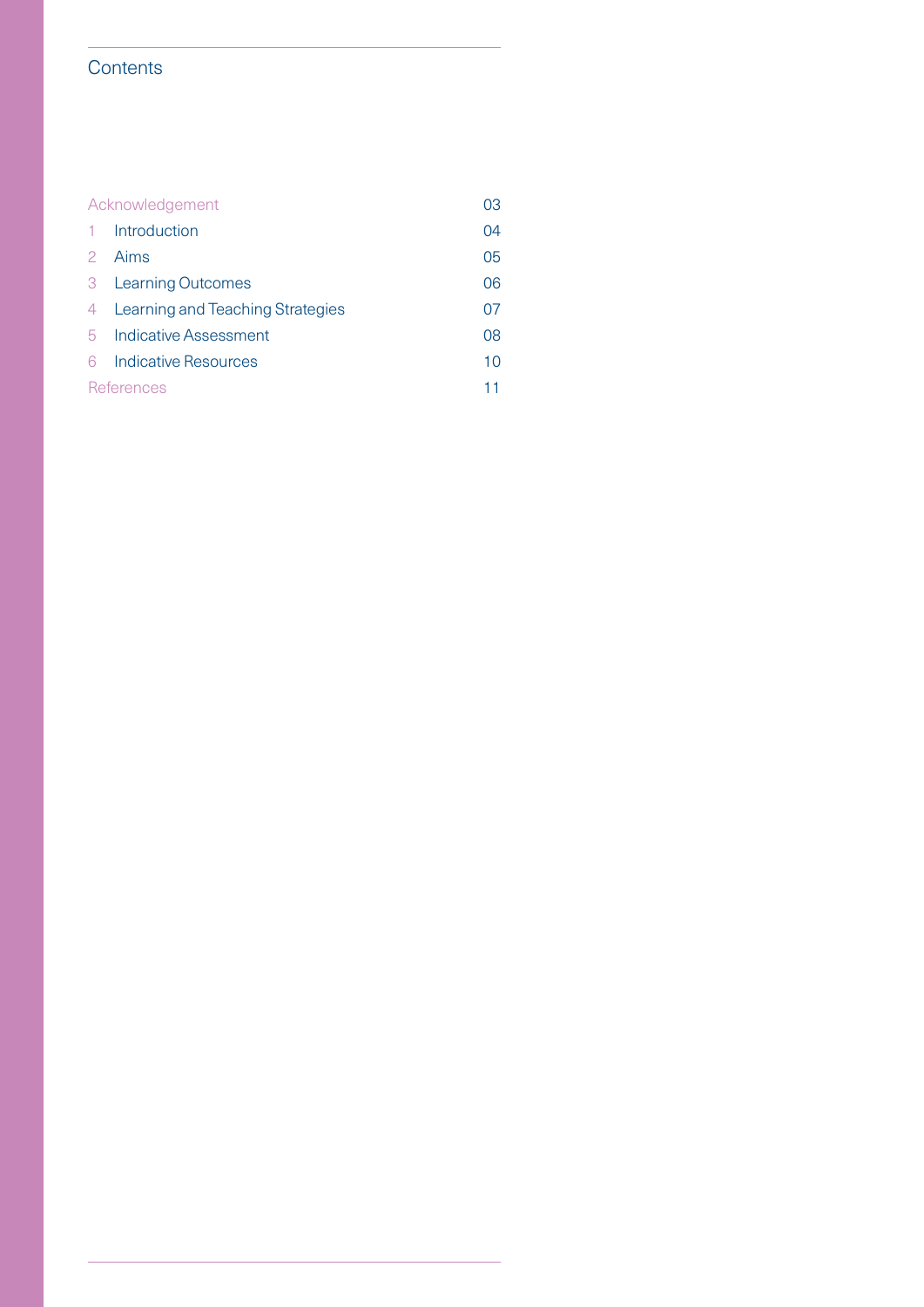# **Contents**

| Acknowledgement |                                  | 03 |
|-----------------|----------------------------------|----|
|                 | Introduction                     | 04 |
| 2               | Aims                             | 05 |
| 3               | <b>Learning Outcomes</b>         | 06 |
| 4               | Learning and Teaching Strategies | 07 |
| 5               | Indicative Assessment            | 08 |
| ട               | Indicative Resources             | 10 |
| References      |                                  | 11 |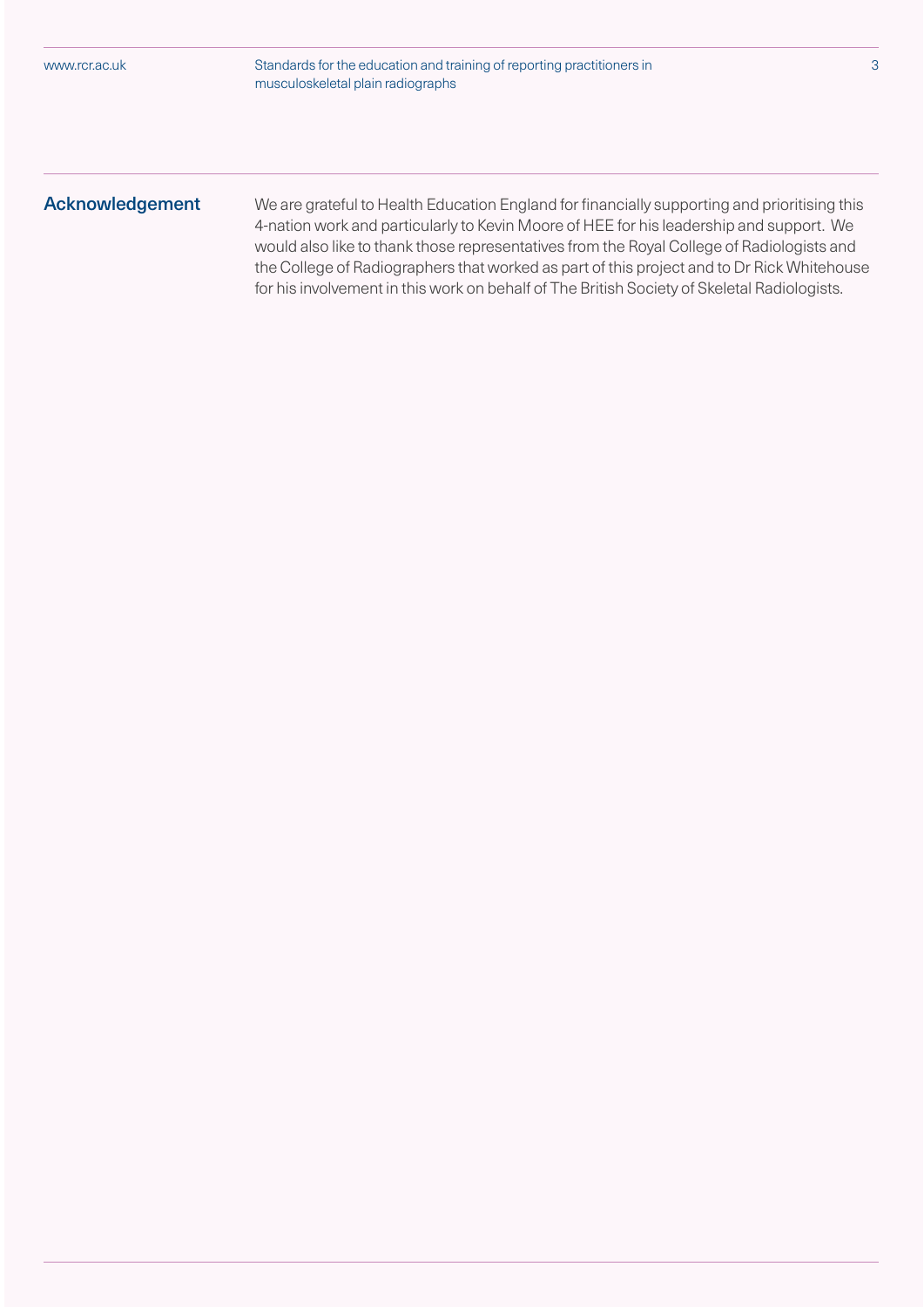Standards for the education and training of reporting practitioners in 3 musculoskeletal plain radiographs

Acknowledgement We are grateful to Health Education England for financially supporting and prioritising this 4-nation work and particularly to Kevin Moore of HEE for his leadership and support. We would also like to thank those representatives from the Royal College of Radiologists and the College of Radiographers that worked as part of this project and to Dr Rick Whitehouse for his involvement in this work on behalf of The British Society of Skeletal Radiologists.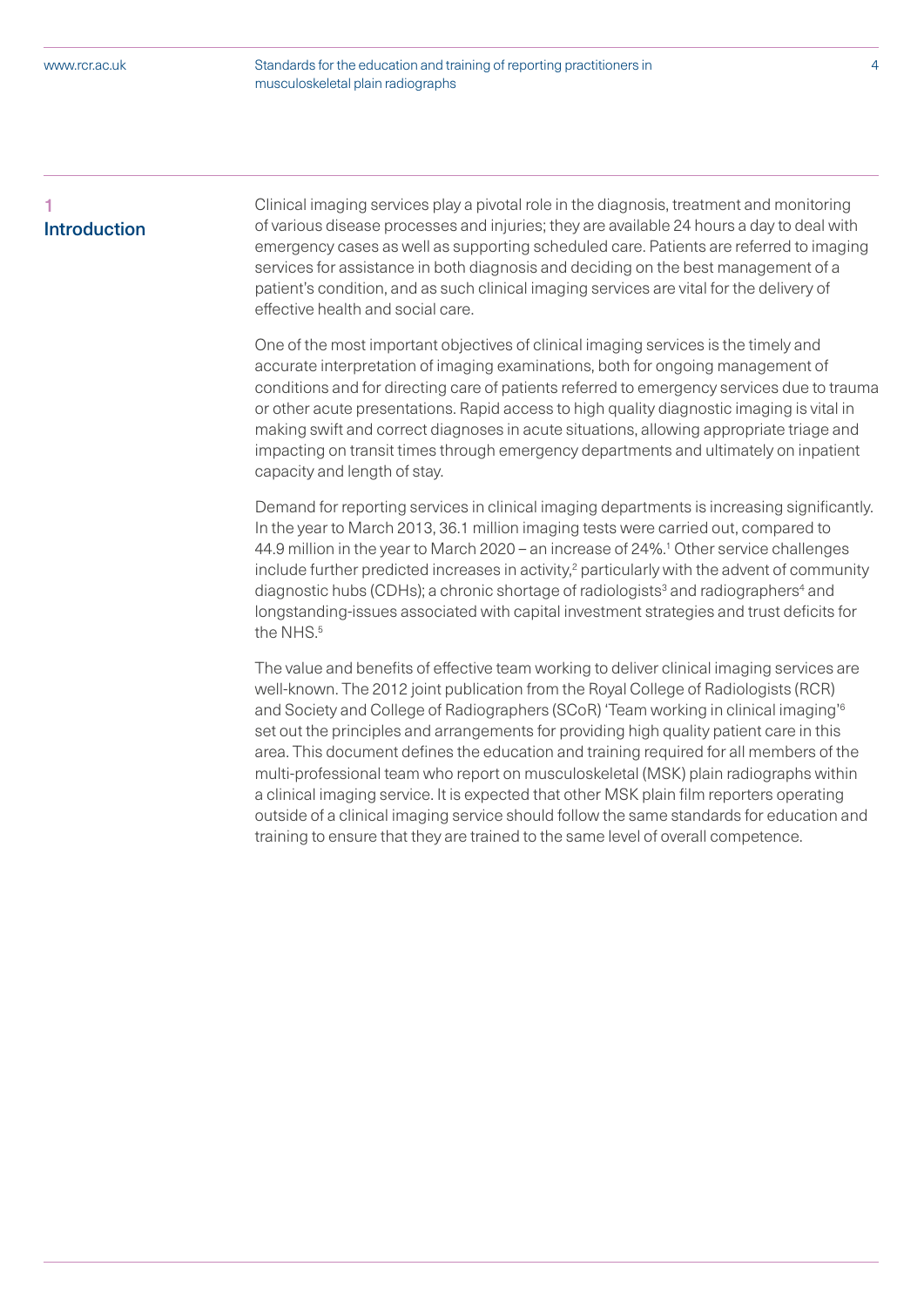Standards for the education and training of reporting practitioners in 4 musculoskeletal plain radiographs

# 1 Introduction

Clinical imaging services play a pivotal role in the diagnosis, treatment and monitoring of various disease processes and injuries; they are available 24 hours a day to deal with emergency cases as well as supporting scheduled care. Patients are referred to imaging services for assistance in both diagnosis and deciding on the best management of a patient's condition, and as such clinical imaging services are vital for the delivery of effective health and social care.

One of the most important objectives of clinical imaging services is the timely and accurate interpretation of imaging examinations, both for ongoing management of conditions and for directing care of patients referred to emergency services due to trauma or other acute presentations. Rapid access to high quality diagnostic imaging is vital in making swift and correct diagnoses in acute situations, allowing appropriate triage and impacting on transit times through emergency departments and ultimately on inpatient capacity and length of stay.

Demand for reporting services in clinical imaging departments is increasing significantly. In the year to March 2013, 36.1 million imaging tests were carried out, compared to 44.9 million in the year to March 2020 – an increase of 24%.1 Other service challenges include further predicted increases in activity, $2$  particularly with the advent of community diagnostic hubs (CDHs); a chronic shortage of radiologists<sup>3</sup> and radiographers<sup>4</sup> and longstanding-issues associated with capital investment strategies and trust deficits for the NHS.<sup>5</sup>

The value and benefits of effective team working to deliver clinical imaging services are well-known. The 2012 joint publication from the Royal College of Radiologists (RCR) and Society and College of Radiographers (SCoR) 'Team working in clinical imaging'6 set out the principles and arrangements for providing high quality patient care in this area. This document defines the education and training required for all members of the multi-professional team who report on musculoskeletal (MSK) plain radiographs within a clinical imaging service. It is expected that other MSK plain film reporters operating outside of a clinical imaging service should follow the same standards for education and training to ensure that they are trained to the same level of overall competence.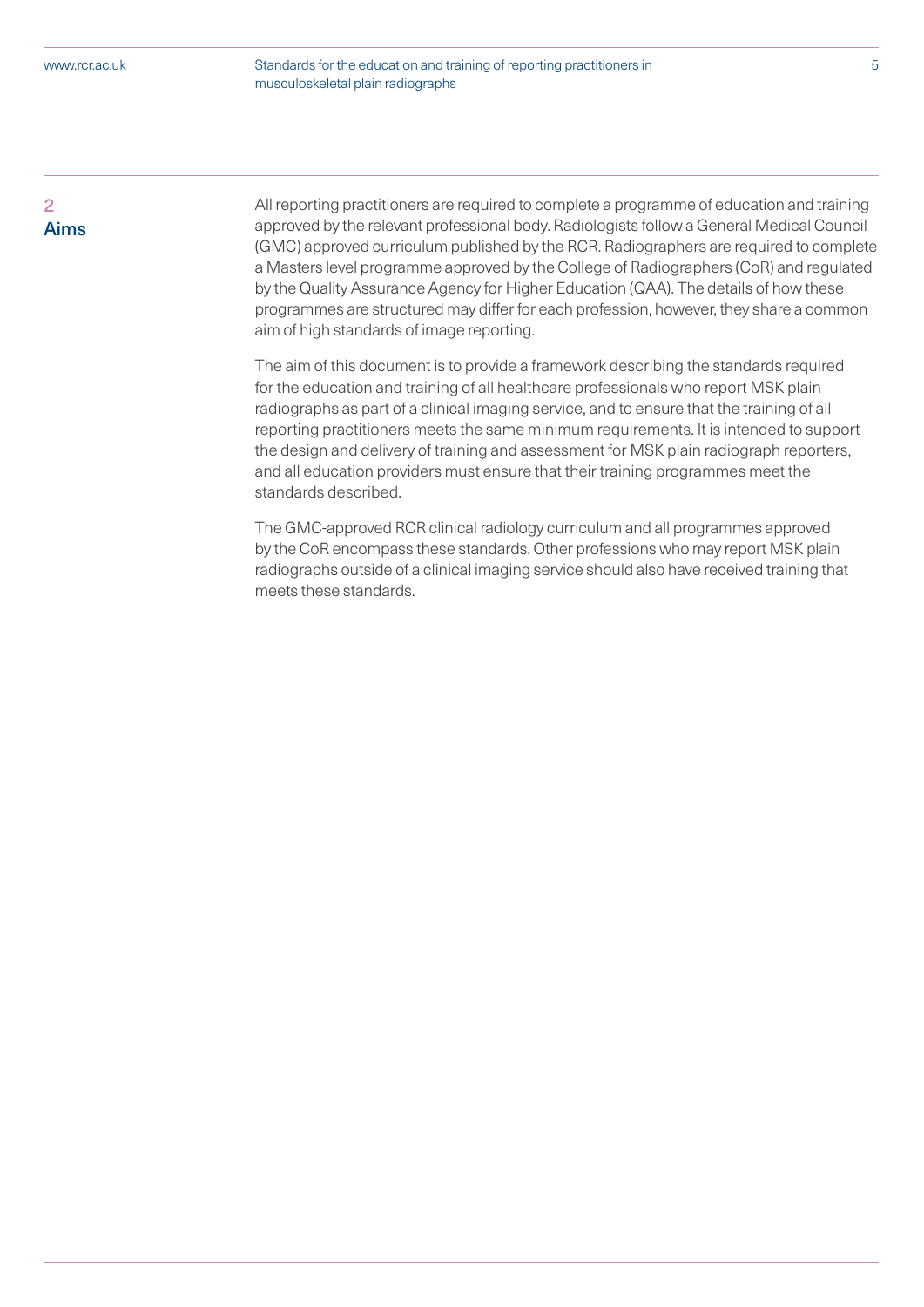Standards for the education and training of reporting practitioners in 5 musculoskeletal plain radiographs

 $\overline{a}$ Aims All reporting practitioners are required to complete a programme of education and training approved by the relevant professional body. Radiologists follow a General Medical Council (GMC) approved curriculum published by the RCR. Radiographers are required to complete a Masters level programme approved by the College of Radiographers (CoR) and regulated by the Quality Assurance Agency for Higher Education (QAA). The details of how these programmes are structured may differ for each profession, however, they share a common aim of high standards of image reporting.

The aim of this document is to provide a framework describing the standards required for the education and training of all healthcare professionals who report MSK plain radiographs as part of a clinical imaging service, and to ensure that the training of all reporting practitioners meets the same minimum requirements. It is intended to support the design and delivery of training and assessment for MSK plain radiograph reporters, and all education providers must ensure that their training programmes meet the standards described.

The GMC-approved RCR clinical radiology curriculum and all programmes approved by the CoR encompass these standards. Other professions who may report MSK plain radiographs outside of a clinical imaging service should also have received training that meets these standards.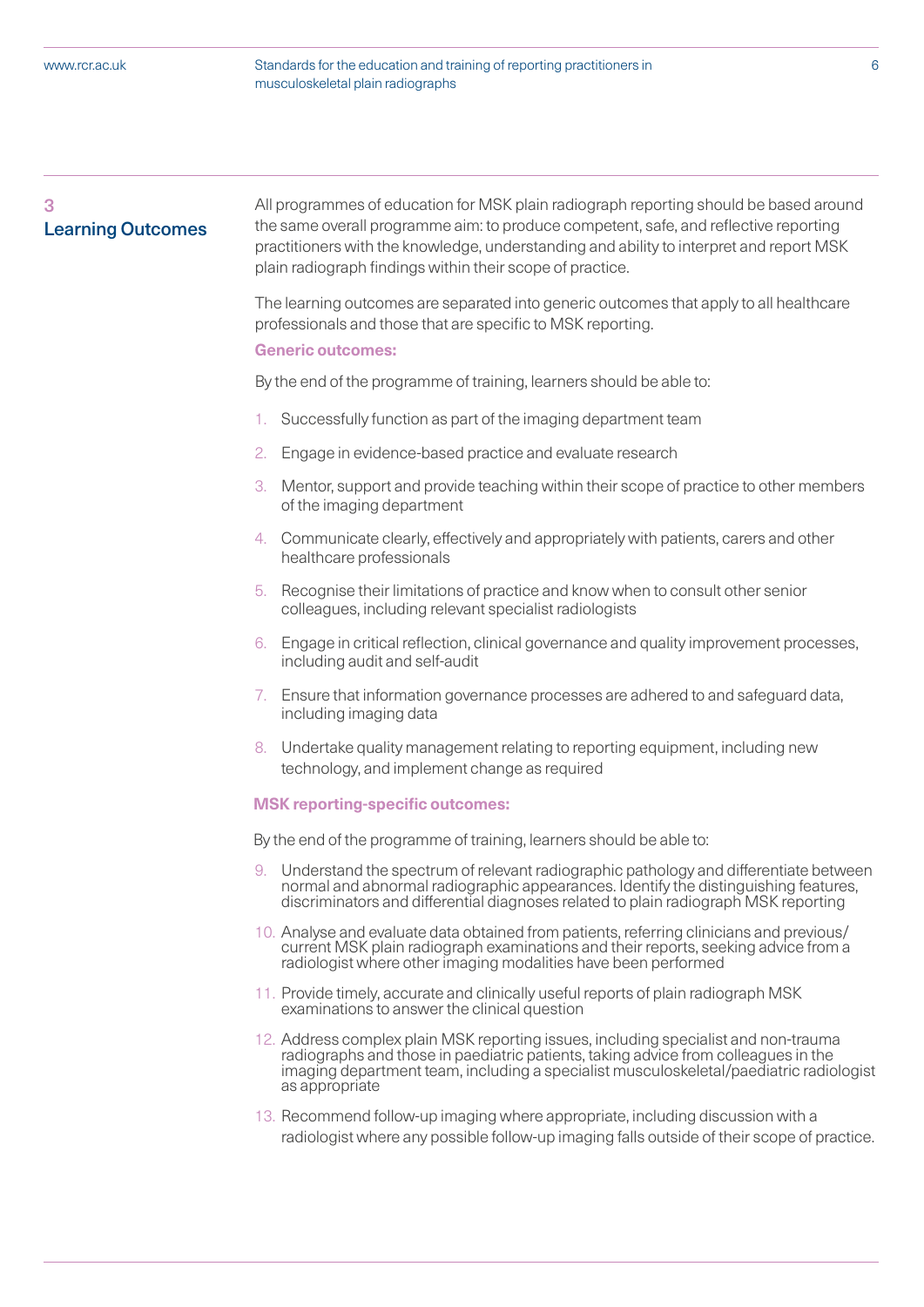Standards for the education and training of reporting practitioners in 6 musculoskeletal plain radiographs

# 3 Learning Outcomes

All programmes of education for MSK plain radiograph reporting should be based around the same overall programme aim: to produce competent, safe, and reflective reporting practitioners with the knowledge, understanding and ability to interpret and report MSK plain radiograph findings within their scope of practice.

The learning outcomes are separated into generic outcomes that apply to all healthcare professionals and those that are specific to MSK reporting.

#### **Generic outcomes:**

By the end of the programme of training, learners should be able to:

- 1. Successfully function as part of the imaging department team
- 2. Engage in evidence-based practice and evaluate research
- 3. Mentor, support and provide teaching within their scope of practice to other members of the imaging department
- 4. Communicate clearly, effectively and appropriately with patients, carers and other healthcare professionals
- 5. Recognise their limitations of practice and know when to consult other senior colleagues, including relevant specialist radiologists
- 6. Engage in critical reflection, clinical governance and quality improvement processes, including audit and self-audit
- 7. Ensure that information governance processes are adhered to and safeguard data, including imaging data
- 8. Undertake quality management relating to reporting equipment, including new technology, and implement change as required

#### **MSK reporting-specific outcomes:**

By the end of the programme of training, learners should be able to:

- Understand the spectrum of relevant radiographic pathology and differentiate between normal and abnormal radiographic appearances. Identify the distinguishing features, discriminators and differential diagnoses related to plain radiograph MSK reporting
- 10. Analyse and evaluate data obtained from patients, referring clinicians and previous/ current MSK plain radiograph examinations and their reports, seeking advice from a radiologist where other imaging modalities have been performed
- 11. Provide timely, accurate and clinically useful reports of plain radiograph MSK examinations to answer the clinical question
- 12. Address complex plain MSK reporting issues, including specialist and non-trauma radiographs and those in paediatric patients, taking advice from colleagues in the imaging department team, including a specialist musculoskeletal/paediatric radiologist as appropriate
- 13. Recommend follow-up imaging where appropriate, including discussion with a radiologist where any possible follow-up imaging falls outside of their scope of practice.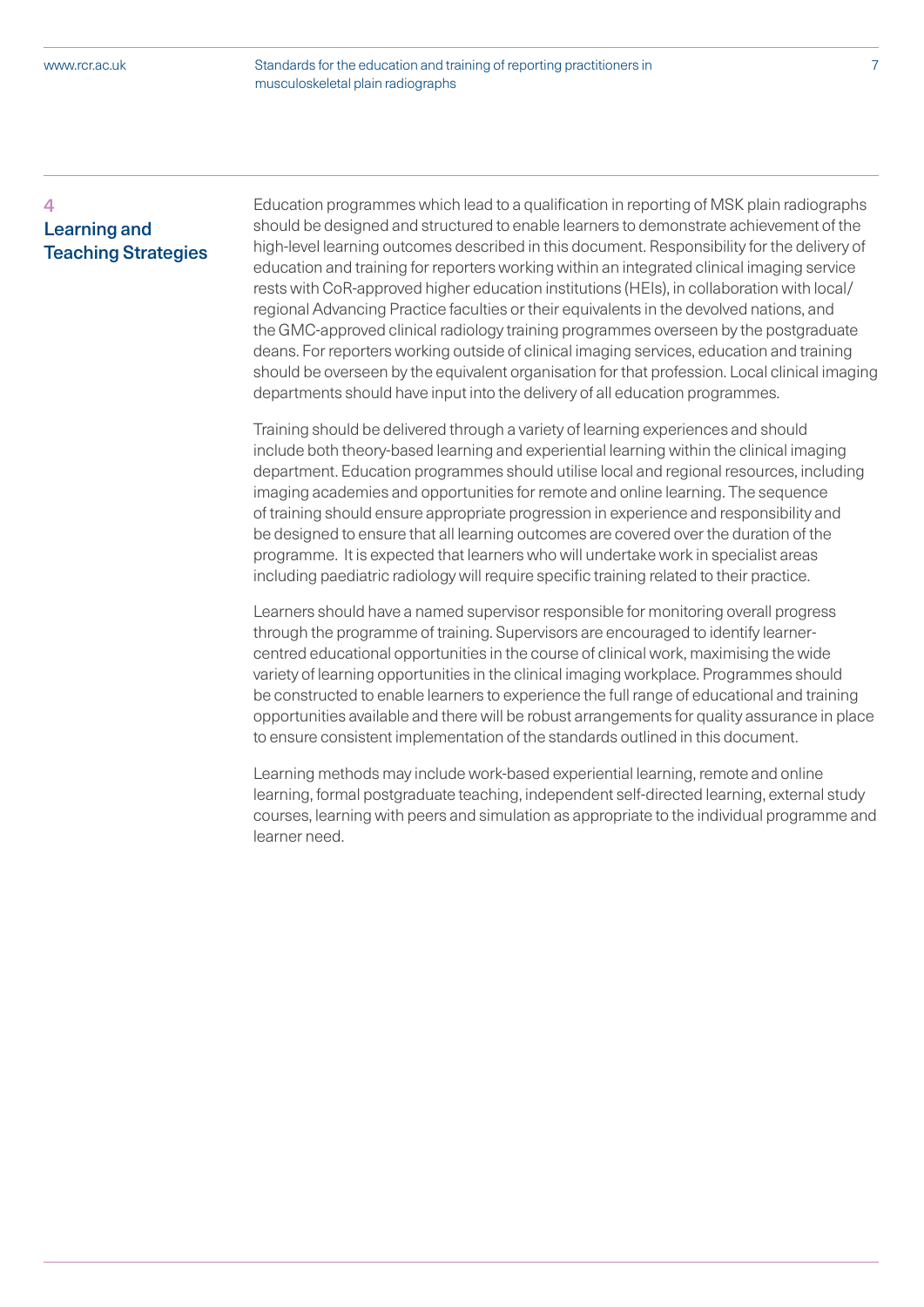# 4 Learning and Teaching Strategies

Education programmes which lead to a qualification in reporting of MSK plain radiographs should be designed and structured to enable learners to demonstrate achievement of the high-level learning outcomes described in this document. Responsibility for the delivery of education and training for reporters working within an integrated clinical imaging service rests with CoR-approved higher education institutions (HEIs), in collaboration with local/ regional Advancing Practice faculties or their equivalents in the devolved nations, and the GMC-approved clinical radiology training programmes overseen by the postgraduate deans. For reporters working outside of clinical imaging services, education and training should be overseen by the equivalent organisation for that profession. Local clinical imaging departments should have input into the delivery of all education programmes.

Training should be delivered through a variety of learning experiences and should include both theory-based learning and experiential learning within the clinical imaging department. Education programmes should utilise local and regional resources, including imaging academies and opportunities for remote and online learning. The sequence of training should ensure appropriate progression in experience and responsibility and be designed to ensure that all learning outcomes are covered over the duration of the programme. It is expected that learners who will undertake work in specialist areas including paediatric radiology will require specific training related to their practice.

Learners should have a named supervisor responsible for monitoring overall progress through the programme of training. Supervisors are encouraged to identify learnercentred educational opportunities in the course of clinical work, maximising the wide variety of learning opportunities in the clinical imaging workplace. Programmes should be constructed to enable learners to experience the full range of educational and training opportunities available and there will be robust arrangements for quality assurance in place to ensure consistent implementation of the standards outlined in this document.

Learning methods may include work-based experiential learning, remote and online learning, formal postgraduate teaching, independent self-directed learning, external study courses, learning with peers and simulation as appropriate to the individual programme and learner need.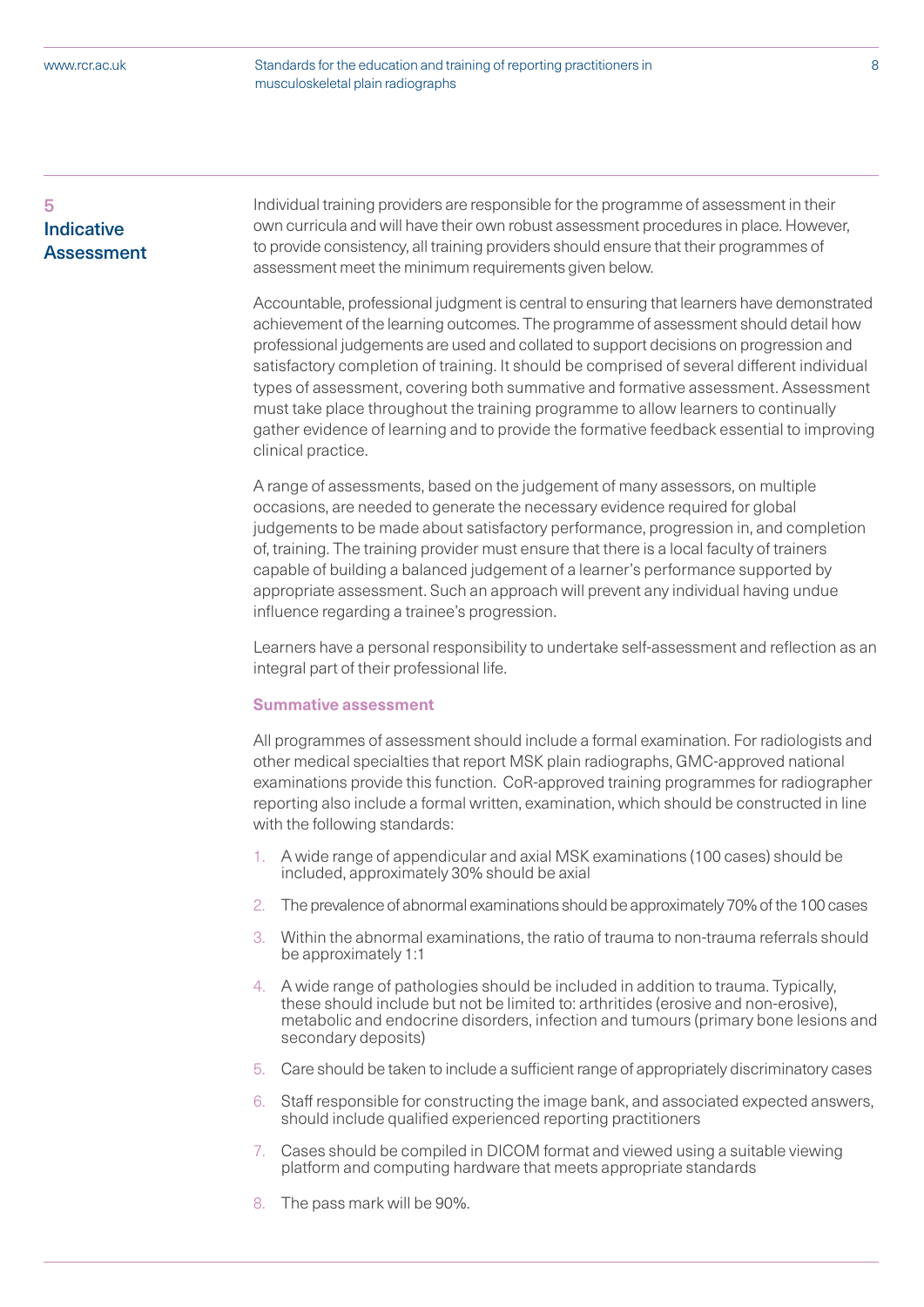Standards for the education and training of reporting practitioners in 8 musculoskeletal plain radiographs

# 5 **Indicative Assessment**

Individual training providers are responsible for the programme of assessment in their own curricula and will have their own robust assessment procedures in place. However, to provide consistency, all training providers should ensure that their programmes of assessment meet the minimum requirements given below.

Accountable, professional judgment is central to ensuring that learners have demonstrated achievement of the learning outcomes. The programme of assessment should detail how professional judgements are used and collated to support decisions on progression and satisfactory completion of training. It should be comprised of several different individual types of assessment, covering both summative and formative assessment. Assessment must take place throughout the training programme to allow learners to continually gather evidence of learning and to provide the formative feedback essential to improving clinical practice.

A range of assessments, based on the judgement of many assessors, on multiple occasions, are needed to generate the necessary evidence required for global judgements to be made about satisfactory performance, progression in, and completion of, training. The training provider must ensure that there is a local faculty of trainers capable of building a balanced judgement of a learner's performance supported by appropriate assessment. Such an approach will prevent any individual having undue influence regarding a trainee's progression.

Learners have a personal responsibility to undertake self-assessment and reflection as an integral part of their professional life.

#### **Summative assessment**

All programmes of assessment should include a formal examination. For radiologists and other medical specialties that report MSK plain radiographs, GMC-approved national examinations provide this function. CoR-approved training programmes for radiographer reporting also include a formal written, examination, which should be constructed in line with the following standards:

- 1. A wide range of appendicular and axial MSK examinations (100 cases) should be included, approximately 30% should be axial
- 2. The prevalence of abnormal examinations should be approximately 70% of the 100 cases
- 3. Within the abnormal examinations, the ratio of trauma to non-trauma referrals should be approximately 1:1
- 4. A wide range of pathologies should be included in addition to trauma. Typically, these should include but not be limited to: arthritides (erosive and non-erosive), metabolic and endocrine disorders, infection and tumours (primary bone lesions and secondary deposits)
- 5. Care should be taken to include a sufficient range of appropriately discriminatory cases
- 6. Staff responsible for constructing the image bank, and associated expected answers, should include qualified experienced reporting practitioners
- 7. Cases should be compiled in DICOM format and viewed using a suitable viewing platform and computing hardware that meets appropriate standards
- 8. The pass mark will be 90%.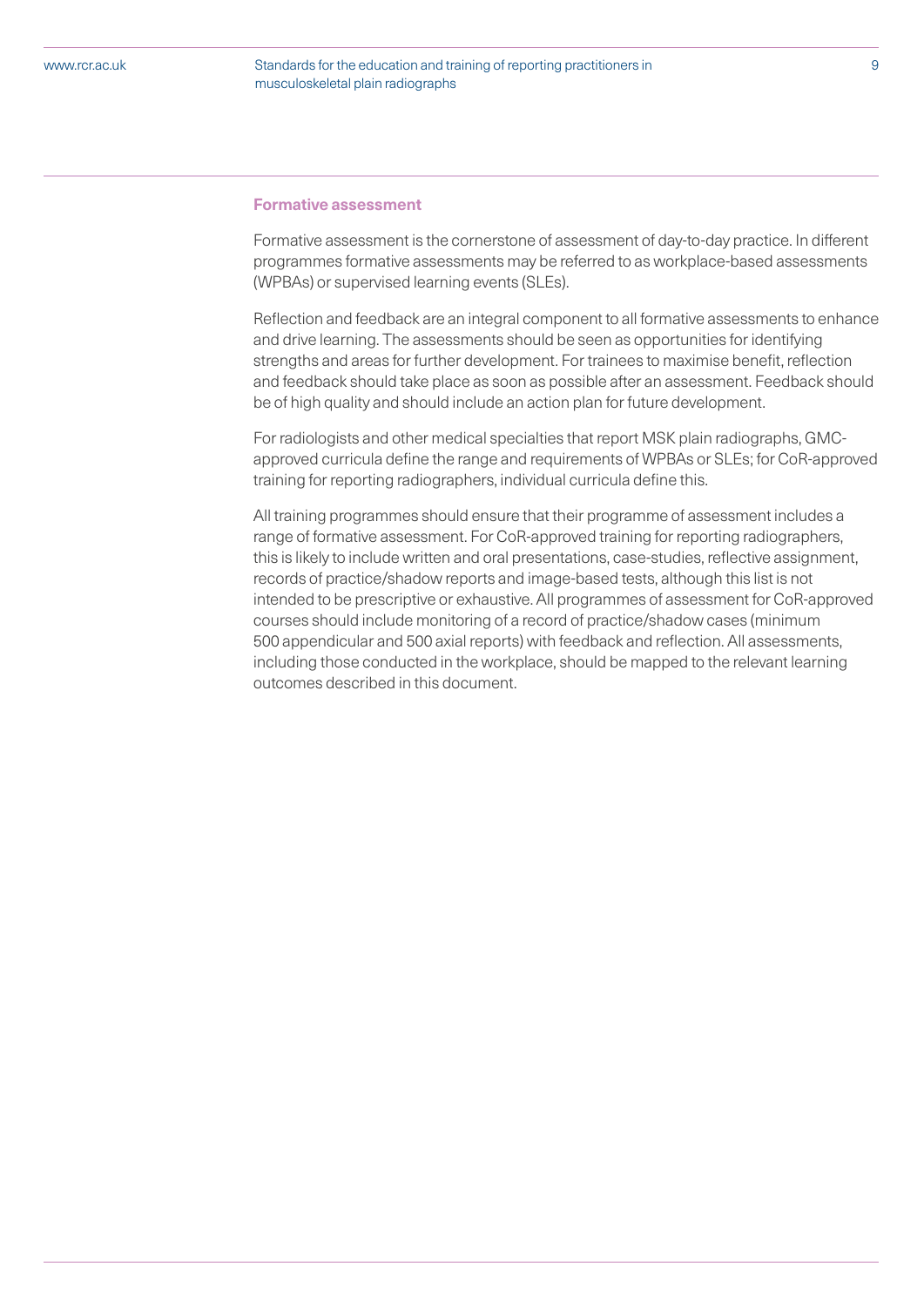Standards for the education and training of reporting practitioners in 9 musculoskeletal plain radiographs

#### **Formative assessment**

Formative assessment is the cornerstone of assessment of day-to-day practice. In different programmes formative assessments may be referred to as workplace-based assessments (WPBAs) or supervised learning events (SLEs).

Reflection and feedback are an integral component to all formative assessments to enhance and drive learning. The assessments should be seen as opportunities for identifying strengths and areas for further development. For trainees to maximise benefit, reflection and feedback should take place as soon as possible after an assessment. Feedback should be of high quality and should include an action plan for future development.

For radiologists and other medical specialties that report MSK plain radiographs, GMCapproved curricula define the range and requirements of WPBAs or SLEs; for CoR-approved training for reporting radiographers, individual curricula define this.

All training programmes should ensure that their programme of assessment includes a range of formative assessment. For CoR-approved training for reporting radiographers, this is likely to include written and oral presentations, case-studies, reflective assignment, records of practice/shadow reports and image-based tests, although this list is not intended to be prescriptive or exhaustive. All programmes of assessment for CoR-approved courses should include monitoring of a record of practice/shadow cases (minimum 500 appendicular and 500 axial reports) with feedback and reflection. All assessments, including those conducted in the workplace, should be mapped to the relevant learning outcomes described in this document.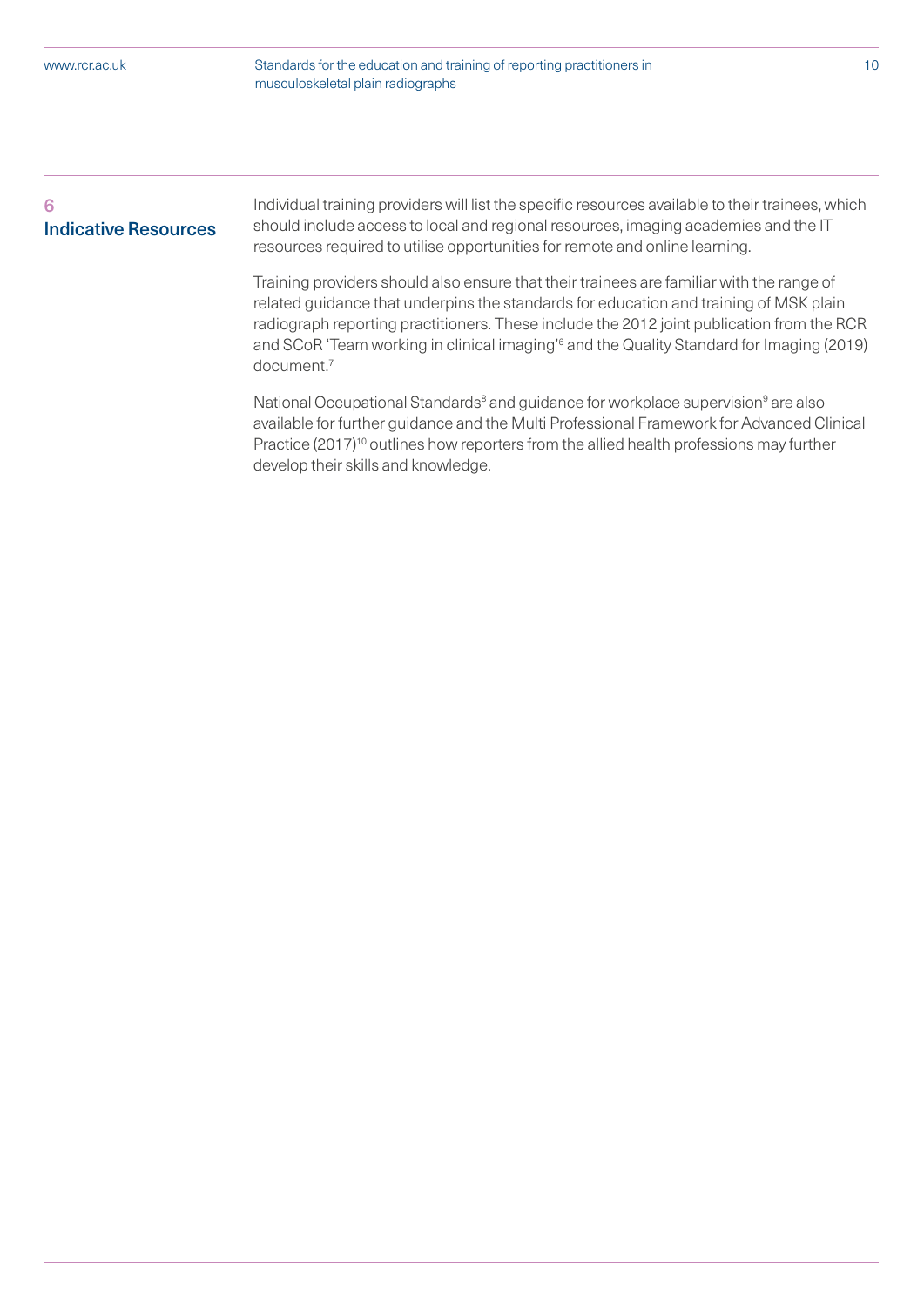Standards for the education and training of reporting practitioners in 10 musculoskeletal plain radiographs

# 6 Indicative Resources

Individual training providers will list the specific resources available to their trainees, which should include access to local and regional resources, imaging academies and the IT resources required to utilise opportunities for remote and online learning.

Training providers should also ensure that their trainees are familiar with the range of related guidance that underpins the standards for education and training of MSK plain radiograph reporting practitioners. These include the 2012 joint publication from the RCR and SCoR 'Team working in clinical imaging'<sup>6</sup> and the Quality Standard for Imaging (2019) document.7

National Occupational Standards<sup>8</sup> and guidance for workplace supervision<sup>9</sup> are also available for further guidance and the Multi Professional Framework for Advanced Clinical Practice (2017)<sup>10</sup> outlines how reporters from the allied health professions may further develop their skills and knowledge.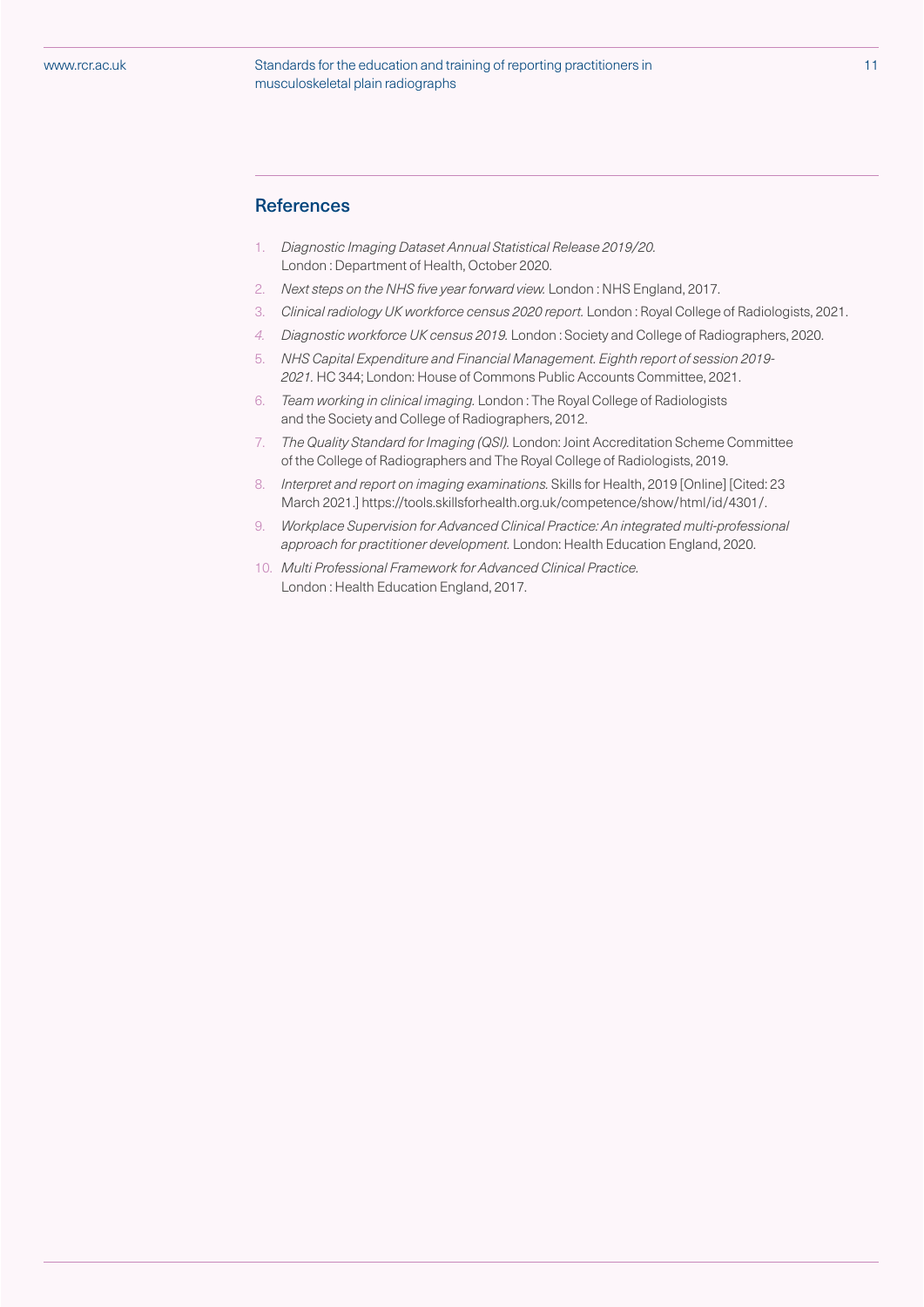#### Standards for the education and training of reporting practitioners in 11 musculoskeletal plain radiographs

### **References**

- 1. Diagnostic Imaging Dataset Annual Statistical Release 2019/20. London : Department of Health, October 2020.
- 2. Next steps on the NHS five year forward view. London: NHS England, 2017.
- 3. Clinical radiology UK workforce census 2020 report. London : Royal College of Radiologists, 2021.
- 4. Diagnostic workforce UK census 2019. London : Society and College of Radiographers, 2020.
- 5. NHS Capital Expenditure and Financial Management. Eighth report of session 2019- 2021. HC 344; London: House of Commons Public Accounts Committee, 2021.
- 6. Team working in clinical imaging. London : The Royal College of Radiologists and the Society and College of Radiographers, 2012.
- 7. The Quality Standard for Imaging (QSI). London: Joint Accreditation Scheme Committee of the College of Radiographers and The Royal College of Radiologists, 2019.
- 8. Interpret and report on imaging examinations. Skills for Health, 2019 [Online] [Cited: 23 March 2021.] https://tools.skillsforhealth.org.uk/competence/show/html/id/4301/.
- 9. Workplace Supervision for Advanced Clinical Practice: An integrated multi-professional approach for practitioner development. London: Health Education England, 2020.
- 10. Multi Professional Framework for Advanced Clinical Practice. London : Health Education England, 2017.